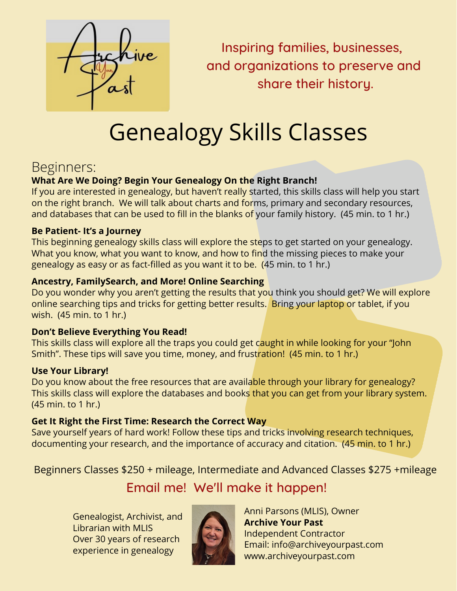

Inspiring families, businesses, and organizations to preserve and share their history.

# Genealogy Skills Classes

## Beginners:

#### **What Are We Doing? Begin Your Genealogy On the Right Branch!**

If you are interested in genealogy, but haven't really started, this skills class will help you start on the right branch. We will talk about charts and forms, primary and secondary resources, and databases that can be used to fill in the blanks of your family history. (45 min. to 1 hr.)

#### **Be Patient- It's a Journey**

This beginning genealogy skills class will explore the steps to get started on your genealogy. What you know, what you want to know, and how to find the missing pieces to make your genealogy as easy or as fact-filled as you want it to be. (45 min. to 1 hr.)

#### **Ancestry, FamilySearch, and More! Online Searching**

Do you wonder why you aren't getting the results that you think you should get? We will explore online searching tips and tricks for getting better results. Bring your laptop or tablet, if you wish. (45 min. to 1 hr.)

#### **Don't Believe Everything You Read!**

This skills class will explore all the traps you could get caught in while looking for your "John Smith". These tips will save you time, money, and frustration! (45 min. to 1 hr.)

#### **Use Your Library!**

Do you know about the free resources that are available through your library for genealogy? This skills class will explore the databases and books that you can get from your library system. (45 min. to 1 hr.)

#### **Get It Right the First Time: Research the Correct Way**

Save yourself years of hard work! Follow these tips and tricks involving research techniques, documenting your research, and the importance of accuracy and citation. (45 min. to 1 hr.)

Beginners Classes \$250 + mileage, Intermediate and Advanced Classes \$275 +mileage

## Email me! We'll make it happen!

Genealogist, Archivist, and Librarian with MLIS Over 30 years of research experience in genealogy



Anni Parsons (MLIS), Owner **Archive Your Past** Independent Contractor Email: info@archiveyourpast.com www.archiveyourpast.com